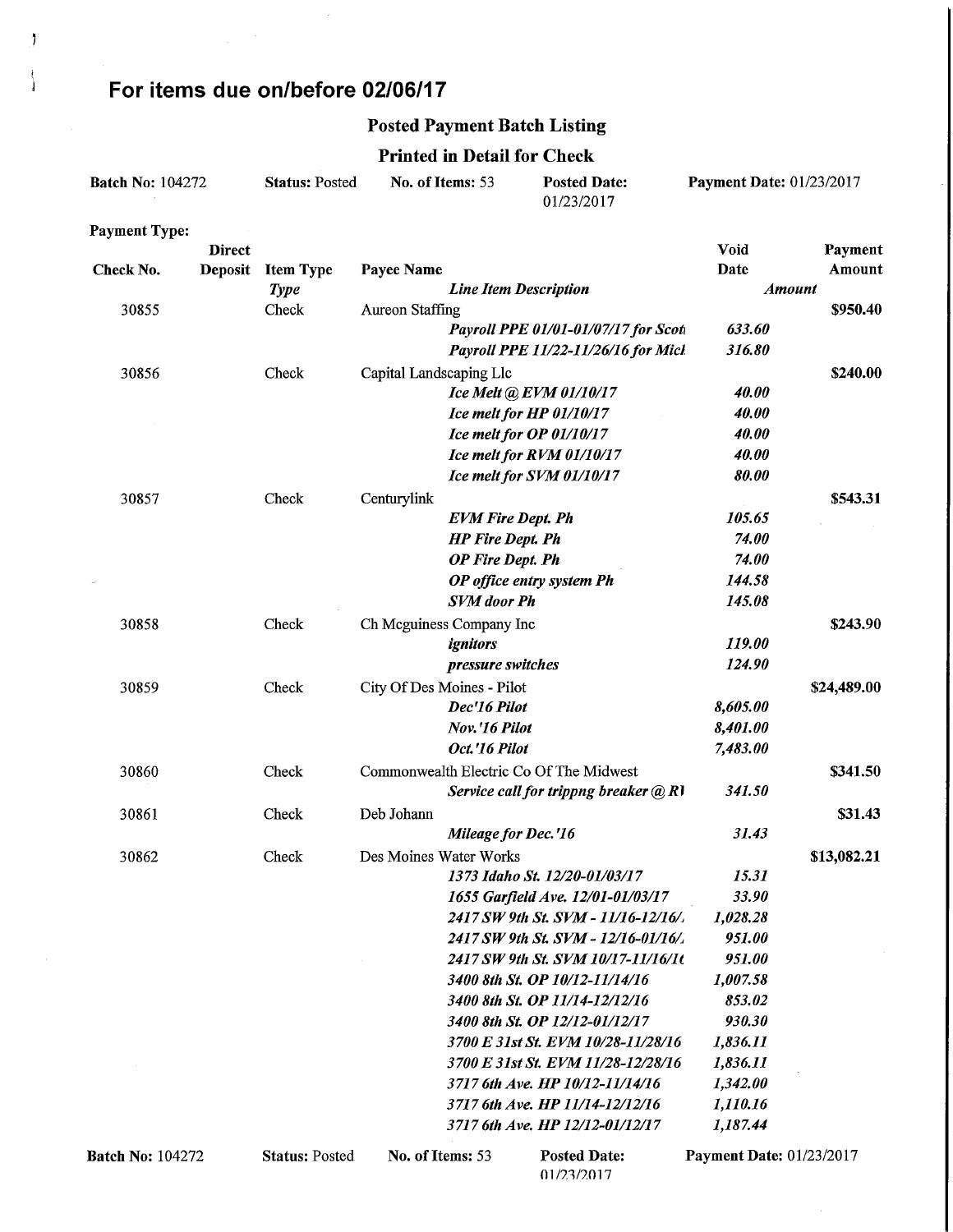## For items due on/before 02/06/17

 $\mathfrak{h}$ 

Ì

#### Posted Payment Batch Listing

Printed in Detail for Check

|                         |               |                       |                            | Printed in Detail for Check  |                                           |                                 |             |
|-------------------------|---------------|-----------------------|----------------------------|------------------------------|-------------------------------------------|---------------------------------|-------------|
| <b>Batch No: 104272</b> |               | <b>Status: Posted</b> | No. of Items: 53           |                              | <b>Posted Date:</b><br>01/23/2017         | <b>Payment Date: 01/23/2017</b> |             |
| <b>Payment Type:</b>    |               |                       |                            |                              |                                           |                                 |             |
|                         | <b>Direct</b> |                       |                            |                              |                                           | <b>Void</b>                     | Payment     |
| Check No.               | Deposit       | <b>Item Type</b>      | Payee Name                 |                              |                                           | Date                            | Amount      |
|                         |               | <b>Type</b>           |                            | <b>Line Item Description</b> |                                           | <b>Amount</b>                   |             |
| 30855                   |               | Check                 | Aureon Staffing            |                              |                                           |                                 | \$950.40    |
|                         |               |                       |                            |                              | Payroll PPE 01/01-01/07/17 for Scoti      | 633.60                          |             |
|                         |               |                       |                            |                              | Payroll PPE 11/22-11/26/16 for Mich       | 316.80                          |             |
| 30856                   |               | Check                 | Capital Landscaping Llc    |                              |                                           |                                 | \$240.00    |
|                         |               |                       |                            |                              | Ice Melt @ EVM 01/10/17                   | 40.00                           |             |
|                         |               |                       |                            |                              | Ice melt for HP 01/10/17                  | 40.00                           |             |
|                         |               |                       |                            |                              | Ice melt for OP 01/10/17                  | 40.00                           |             |
|                         |               |                       |                            |                              | Ice melt for RVM 01/10/17                 | 40.00                           |             |
|                         |               |                       |                            |                              | Ice melt for SVM 01/10/17                 | 80.00                           |             |
| 30857                   |               | Check                 | Centurylink                |                              |                                           |                                 | \$543.31    |
|                         |               |                       |                            | <b>EVM Fire Dept. Ph</b>     |                                           | 105.65                          |             |
|                         |               |                       |                            | <b>HP</b> Fire Dept. Ph      |                                           | 74.00                           |             |
|                         |               |                       |                            | <b>OP</b> Fire Dept. Ph      |                                           | 74.00                           |             |
|                         |               |                       |                            |                              | OP office entry system Ph                 | 144.58                          |             |
|                         |               |                       |                            | <b>SVM</b> door Ph           |                                           | 145.08                          |             |
| 30858                   |               | Check                 | Ch Mcguiness Company Inc   |                              |                                           |                                 | \$243.90    |
|                         |               |                       |                            | ignitors                     |                                           | 119.00                          |             |
|                         |               |                       |                            | pressure switches            |                                           | 124.90                          |             |
| 30859                   |               | Check                 | City Of Des Moines - Pilot |                              |                                           |                                 | \$24,489.00 |
|                         |               |                       |                            | Dec'16 Pilot                 |                                           | 8,605.00                        |             |
|                         |               |                       |                            | Nov.'16 Pilot                |                                           | 8,401.00                        |             |
|                         |               |                       |                            | Oct.'16 Pilot                |                                           | 7,483.00                        |             |
| 30860                   |               | Check                 |                            |                              | Commonwealth Electric Co Of The Midwest   |                                 | \$341.50    |
|                         |               |                       |                            |                              | Service call for trippng breaker $(a)$ RI | 341.50                          |             |
| 30861                   |               | Check                 | Deb Johann                 |                              |                                           |                                 | \$31.43     |
|                         |               |                       |                            | Mileage for Dec.'16          |                                           | 31.43                           |             |
| 30862                   |               | Check                 | Des Moines Water Works     |                              |                                           |                                 | \$13,082.21 |
|                         |               |                       |                            |                              | 1373 Idaho St. 12/20-01/03/17             | 15.31                           |             |
|                         |               |                       |                            |                              | 1655 Garfield Ave. 12/01-01/03/17         | 33.90                           |             |
|                         |               |                       |                            |                              | 2417 SW 9th St. SVM - 11/16-12/16/.       | 1,028.28                        |             |
|                         |               |                       |                            |                              | 2417 SW 9th St. SVM - 12/16-01/16/.       | 951.00                          |             |
|                         |               |                       |                            |                              | 2417 SW 9th St. SVM 10/17-11/16/10        | 951.00                          |             |
|                         |               |                       |                            |                              | 3400 8th St. OP 10/12-11/14/16            | 1,007.58                        |             |
|                         |               |                       |                            |                              | 3400 8th St. OP 11/14-12/12/16            | 853.02                          |             |
|                         |               |                       |                            |                              | 3400 8th St. OP 12/12-01/12/17            | 930.30                          |             |
|                         |               |                       |                            |                              | 3700 E 31st St. EVM 10/28-11/28/16        | 1,836.11                        |             |
|                         |               |                       |                            |                              | 3700 E 31st St. EVM 11/28-12/28/16        | 1,836.11                        |             |
|                         |               |                       |                            |                              | 3717 6th Ave. HP 10/12-11/14/16           | 1,342.00                        |             |
|                         |               |                       |                            |                              | 3717 6th Ave. HP 11/14-12/12/16           | 1,110.16                        |             |
|                         |               |                       |                            |                              | 3717 6th Ave. HP 12/12-01/12/17           | 1,187.44                        |             |
| <b>Batch No: 104272</b> |               | <b>Status: Posted</b> | No. of Items: 53           |                              | <b>Posted Date:</b>                       | Payment Date: 01/23/2017        |             |

01/23/2017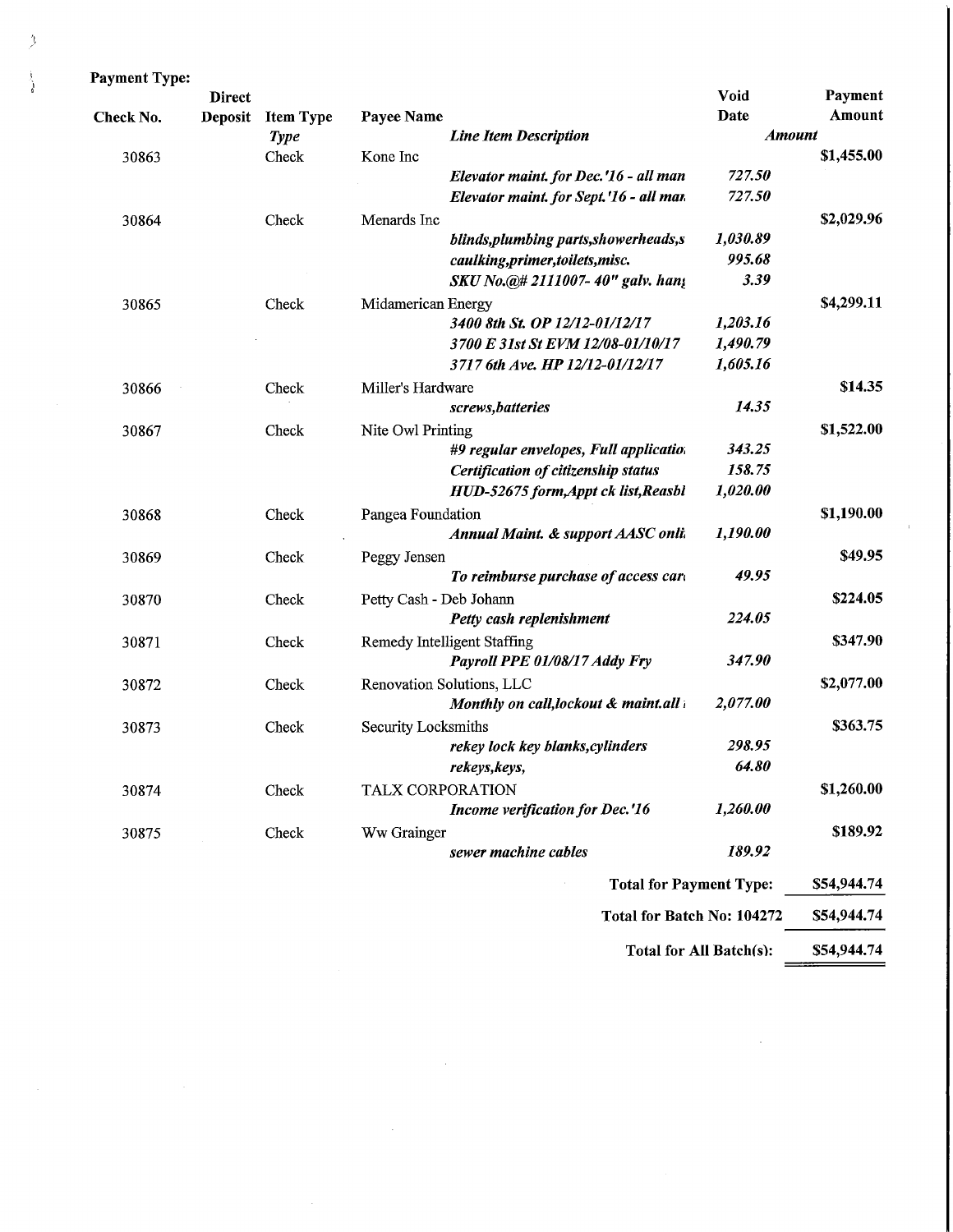| <b>Payment Type:</b> |                |                      |                         |                                         |                              |                   |
|----------------------|----------------|----------------------|-------------------------|-----------------------------------------|------------------------------|-------------------|
|                      | <b>Direct</b>  |                      |                         |                                         | <b>Void</b>                  | Payment<br>Amount |
| Check No.            | <b>Deposit</b> | <b>Item Type</b>     | Payee Name              |                                         | <b>Date</b><br><b>Amount</b> |                   |
| 30863                |                | <b>Type</b><br>Check | Kone Inc                | <b>Line Item Description</b>            |                              | \$1,455.00        |
|                      |                |                      |                         | Elevator maint. for Dec.'16 - all man   | 727.50                       |                   |
|                      |                |                      |                         | Elevator maint. for Sept.'16 - all mar. | 727.50                       |                   |
| 30864                |                | Check                | Menards Inc             |                                         |                              | \$2,029.96        |
|                      |                |                      |                         | blinds, plumbing parts, showerheads, s  | 1,030.89                     |                   |
|                      |                |                      |                         | caulking, primer, toilets, misc.        | 995.68                       |                   |
|                      |                |                      |                         | SKU No.@# 2111007-40" galv. han;        | 3.39                         |                   |
| 30865                |                | Check                | Midamerican Energy      |                                         |                              | \$4,299.11        |
|                      |                |                      |                         | 3400 8th St. OP 12/12-01/12/17          | 1,203.16                     |                   |
|                      |                |                      |                         | 3700 E 31st St EVM 12/08-01/10/17       | 1,490.79                     |                   |
|                      |                |                      |                         | 3717 6th Ave. HP 12/12-01/12/17         | 1,605.16                     |                   |
| 30866                |                | Check                | Miller's Hardware       |                                         |                              | \$14.35           |
|                      |                |                      |                         | screws, batteries                       | 14.35                        |                   |
| 30867                |                | Check                | Nite Owl Printing       |                                         |                              | \$1,522.00        |
|                      |                |                      |                         | #9 regular envelopes, Full applicatio.  | 343.25                       |                   |
|                      |                |                      |                         | Certification of citizenship status     | 158.75                       |                   |
|                      |                |                      |                         | HUD-52675 form, Appt ck list, Reasbl    | 1,020.00                     |                   |
| 30868                |                | Check                | Pangea Foundation       |                                         |                              | \$1,190.00        |
|                      |                |                      |                         | Annual Maint. & support AASC onli.      | 1,190.00                     |                   |
| 30869                |                | Check                | Peggy Jensen            |                                         |                              | \$49.95           |
|                      |                |                      |                         | To reimburse purchase of access card    | 49.95                        |                   |
| 30870                |                | Check                | Petty Cash - Deb Johann |                                         |                              | \$224.05          |
|                      |                |                      |                         | Petty cash replenishment                | 224.05                       |                   |
| 30871                |                | Check                |                         | Remedy Intelligent Staffing             |                              | \$347.90          |
|                      |                |                      |                         | Payroll PPE 01/08/17 Addy Fry           | 347.90                       |                   |
| 30872                |                | Check                |                         | Renovation Solutions, LLC               |                              | \$2,077.00        |
|                      |                |                      |                         | Monthly on call, lockout & maint.all    | 2,077.00                     |                   |
| 30873                |                | Check                | Security Locksmiths     |                                         |                              | \$363.75          |
|                      |                |                      |                         | rekey lock key blanks, cylinders        | 298.95                       |                   |
|                      |                |                      |                         | rekeys, keys,                           | 64.80                        |                   |
| 30874                |                | Check                | TALX CORPORATION        |                                         |                              | \$1,260.00        |
|                      |                |                      |                         | Income verification for Dec.'16         | 1,260.00                     |                   |
| 30875                |                | Check                | Ww Grainger             |                                         |                              | \$189.92          |
|                      |                |                      |                         | sewer machine cables                    | 189.92                       |                   |
|                      |                |                      |                         | <b>Total for Payment Type:</b>          |                              | \$54,944.74       |
|                      |                |                      |                         | Total for Batch No: 104272              |                              | \$54,944.74       |
|                      |                |                      |                         |                                         | Total for All Batch(s):      | \$54,944.74       |

 $\sim$   $\sim$ 

 $\sim$ 

 $\sim$ 

 $\bar{1}$ 

 $\equiv$ 

 $\mathcal{A}^{\mathcal{A}}$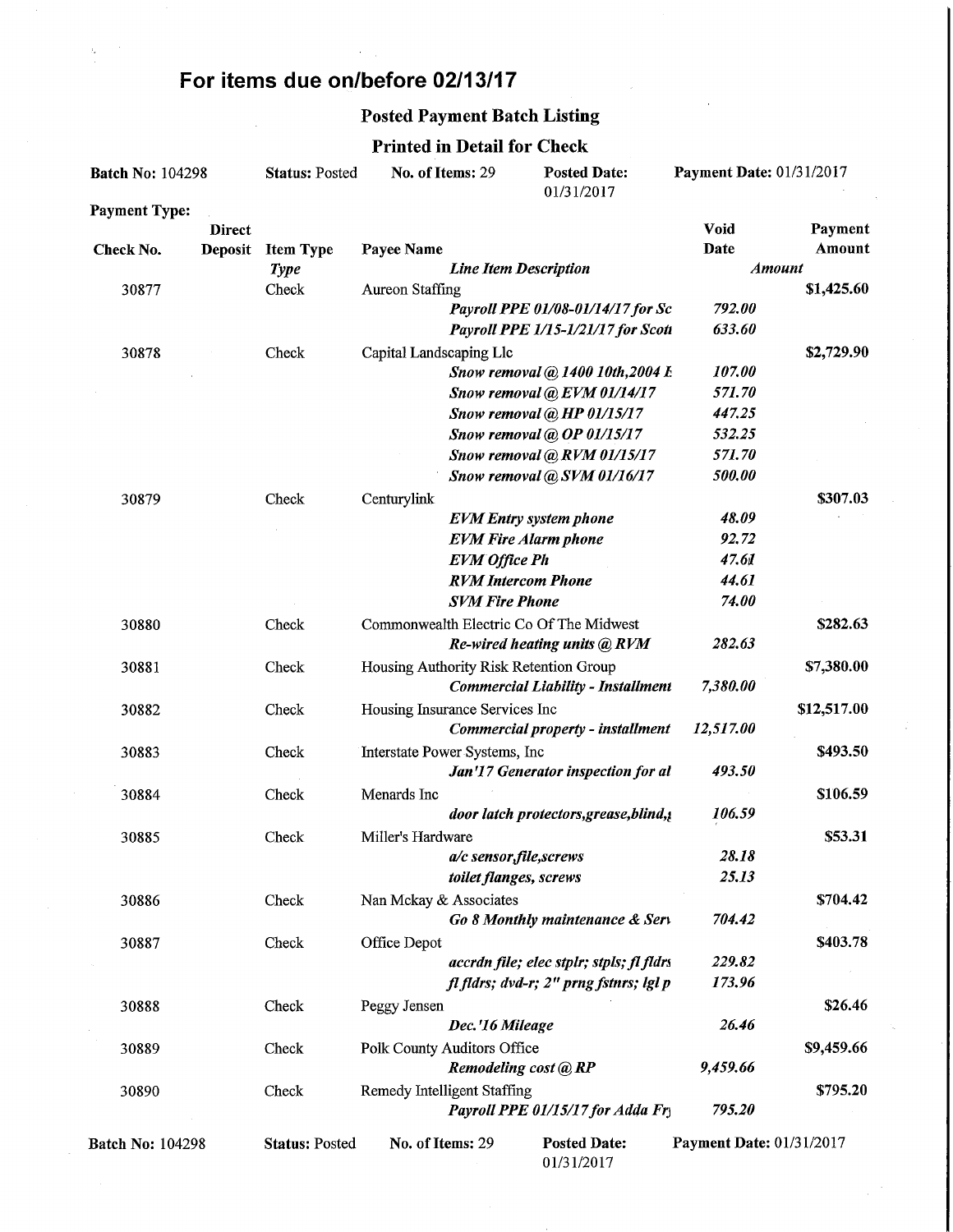## For items due on/before 02/13/17

## Posted Payment Batch Listing

#### Printed in Detail for Check

| <b>Batch No: 104298</b>     |               | <b>Status: Posted</b> | No. of Items: 29<br><b>Posted Date:</b><br>01/31/2017 |                              | Payment Date: 01/31/2017                  |                                 |                         |
|-----------------------------|---------------|-----------------------|-------------------------------------------------------|------------------------------|-------------------------------------------|---------------------------------|-------------------------|
| <b>Payment Type:</b>        |               |                       |                                                       |                              |                                           |                                 |                         |
|                             | <b>Direct</b> |                       |                                                       |                              |                                           | Void                            | Payment                 |
| <b>Deposit</b><br>Check No. |               | <b>Item Type</b>      | Payee Name                                            |                              |                                           | Date                            | Amount<br><b>Amount</b> |
| 30877                       |               | <b>Type</b><br>Check  | <b>Aureon Staffing</b>                                | <b>Line Item Description</b> |                                           |                                 | \$1,425.60              |
|                             |               |                       |                                                       |                              | Payroll PPE 01/08-01/14/17 for Sc         | 792.00                          |                         |
|                             |               |                       |                                                       |                              | Payroll PPE 1/15-1/21/17 for Scott        | 633.60                          |                         |
| 30878                       |               | Check                 | Capital Landscaping Llc                               |                              |                                           |                                 | \$2,729.90              |
|                             |               |                       |                                                       |                              | Snow removal @ 1400 10th, 2004 L          | 107.00                          |                         |
|                             |               |                       |                                                       |                              | Snow removal @ EVM 01/14/17               | 571.70                          |                         |
|                             |               |                       |                                                       |                              | Snow removal @ HP 01/15/17                | 447.25                          |                         |
|                             |               |                       |                                                       |                              | Snow removal @ OP 01/15/17                | 532.25                          |                         |
|                             |               |                       |                                                       |                              | Snow removal @ RVM 01/15/17               | 571.70                          |                         |
|                             |               |                       |                                                       |                              | Snow removal @ SVM 01/16/17               | 500.00                          |                         |
| 30879                       |               | Check                 | Centurylink                                           |                              |                                           |                                 | \$307.03                |
|                             |               |                       |                                                       |                              | <b>EVM</b> Entry system phone             | 48.09                           |                         |
|                             |               |                       |                                                       |                              | <b>EVM Fire Alarm phone</b>               | 92.72                           |                         |
|                             |               |                       |                                                       | <b>EVM</b> Office Ph         |                                           | 47.61                           |                         |
|                             |               |                       |                                                       |                              | <b>RVM</b> Intercom Phone                 | 44.61                           |                         |
|                             |               |                       |                                                       | <b>SVM Fire Phone</b>        |                                           | 74.00                           |                         |
| 30880                       |               | Check                 |                                                       |                              | Commonwealth Electric Co Of The Midwest   |                                 | \$282.63                |
|                             |               |                       |                                                       |                              | Re-wired heating units @ RVM              | 282.63                          |                         |
| 30881                       |               | Check                 |                                                       |                              | Housing Authority Risk Retention Group    |                                 | \$7,380.00              |
|                             |               |                       |                                                       |                              | <b>Commercial Liability - Installment</b> | 7,380.00                        |                         |
| 30882                       |               | Check                 | Housing Insurance Services Inc                        |                              |                                           |                                 | \$12,517.00             |
|                             |               |                       |                                                       |                              | Commercial property - installment         | 12,517.00                       |                         |
| 30883                       |               | Check                 | Interstate Power Systems, Inc                         |                              | Jan'17 Generator inspection for al        | 493.50                          | \$493.50                |
|                             |               |                       |                                                       |                              |                                           |                                 |                         |
| 30884                       |               | Check                 | Menards Inc                                           |                              | door latch protectors, grease, blind, ¿   | 106.59                          | \$106.59                |
| 30885                       |               | Check                 | Miller's Hardware                                     |                              |                                           |                                 | \$53.31                 |
|                             |               |                       |                                                       | a/c sensor, file, screws     |                                           | 28.18                           |                         |
|                             |               |                       |                                                       | toilet flanges, screws       |                                           | 25.13                           |                         |
| 30886                       |               | Check                 | Nan Mckay & Associates                                |                              |                                           |                                 | \$704.42                |
|                             |               |                       |                                                       |                              | Go 8 Monthly maintenance & Serv           | 704.42                          |                         |
| 30887                       |               | Check                 | Office Depot                                          |                              |                                           |                                 | \$403.78                |
|                             |               |                       |                                                       |                              | accrdn file; elec stplr; stpls; fl fldrs  | 229.82                          |                         |
|                             |               |                       |                                                       |                              | fl fldrs; dvd-r; 2" prng fstnrs; lgl p    | 173.96                          |                         |
| 30888                       |               | Check                 | Peggy Jensen                                          |                              |                                           |                                 | \$26.46                 |
|                             |               |                       |                                                       | Dec.'16 Mileage              |                                           | 26.46                           |                         |
| 30889                       |               | Check                 | Polk County Auditors Office                           |                              |                                           |                                 | \$9,459.66              |
|                             |               |                       |                                                       |                              | Remodeling cost @ RP                      | 9,459.66                        |                         |
| 30890                       |               | Check                 | Remedy Intelligent Staffing                           |                              |                                           |                                 | \$795.20                |
|                             |               |                       |                                                       |                              | Payroll PPE 01/15/17 for Adda Fry         | 795.20                          |                         |
| <b>Batch No: 104298</b>     |               | <b>Status: Posted</b> | No. of Items: 29                                      |                              | <b>Posted Date:</b><br>01/31/2017         | <b>Payment Date: 01/31/2017</b> |                         |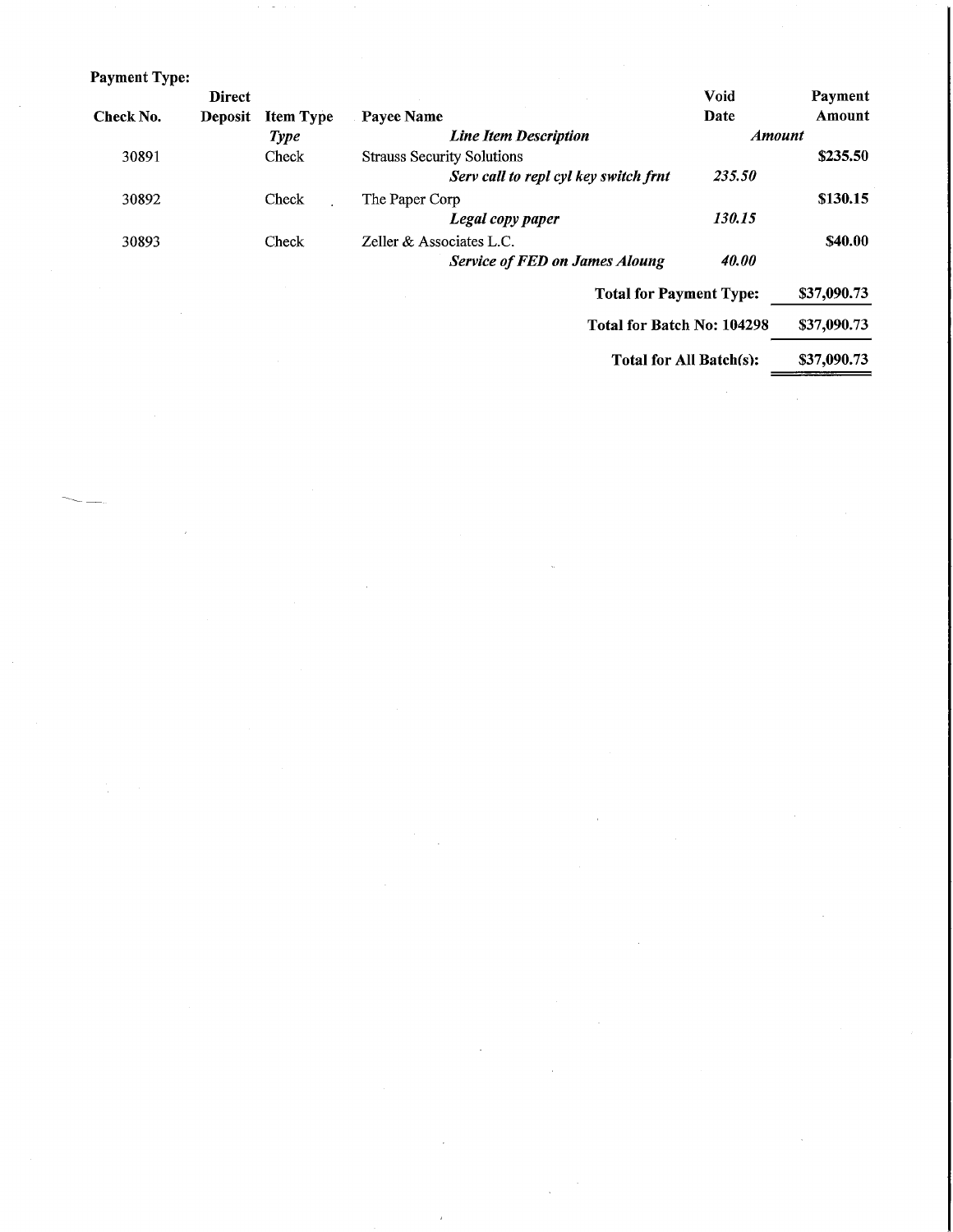| Payment Type: |                |                  |                                       |                         |                |
|---------------|----------------|------------------|---------------------------------------|-------------------------|----------------|
|               | <b>Direct</b>  |                  |                                       | <b>Void</b>             | Payment        |
| Check No.     | <b>Deposit</b> | <b>Item Type</b> | Payee Name                            | Date                    | Amount         |
|               |                | <b>Type</b>      | <b>Line Item Description</b>          | <b>Amount</b>           |                |
| 30891         |                | Check            | <b>Strauss Security Solutions</b>     |                         | \$235.50       |
|               |                |                  | Serv call to repl cyl key switch frnt | 235.50                  |                |
| 30892         |                | Check            | The Paper Corp                        |                         | \$130.15       |
|               |                |                  | Legal copy paper                      | 130.15                  |                |
| 30893         |                | Check            | Zeller & Associates L.C.              |                         | <b>\$40.00</b> |
|               |                |                  | <b>Service of FED on James Aloung</b> | 40.00                   |                |
|               |                |                  | <b>Total for Payment Type:</b>        |                         | \$37,090.73    |
|               |                |                  | Total for Batch No: 104298            |                         | \$37,090.73    |
|               |                |                  |                                       | Total for All Batch(s): | \$37,090.73    |

 $\sim$   $\sim$ 

 $\label{eq:2} \frac{1}{\sqrt{2}}\left(\frac{1}{\sqrt{2}}\right)^2\frac{1}{\sqrt{2}}\left(\frac{1}{\sqrt{2}}\right)^2.$ 

 $\label{eq:2.1} \frac{1}{\sqrt{2}}\left(\frac{1}{\sqrt{2}}\right)^{2} \left(\frac{1}{\sqrt{2}}\right)^{2} \left(\frac{1}{\sqrt{2}}\right)^{2} \left(\frac{1}{\sqrt{2}}\right)^{2} \left(\frac{1}{\sqrt{2}}\right)^{2} \left(\frac{1}{\sqrt{2}}\right)^{2} \left(\frac{1}{\sqrt{2}}\right)^{2} \left(\frac{1}{\sqrt{2}}\right)^{2} \left(\frac{1}{\sqrt{2}}\right)^{2} \left(\frac{1}{\sqrt{2}}\right)^{2} \left(\frac{1}{\sqrt{2}}\right)^{2} \left(\$ 

 $\label{eq:2.1} \frac{1}{\sqrt{2\pi}}\int_{\mathbb{R}^3} \frac{1}{\sqrt{2\pi}}\,d\mu\,d\mu\,.$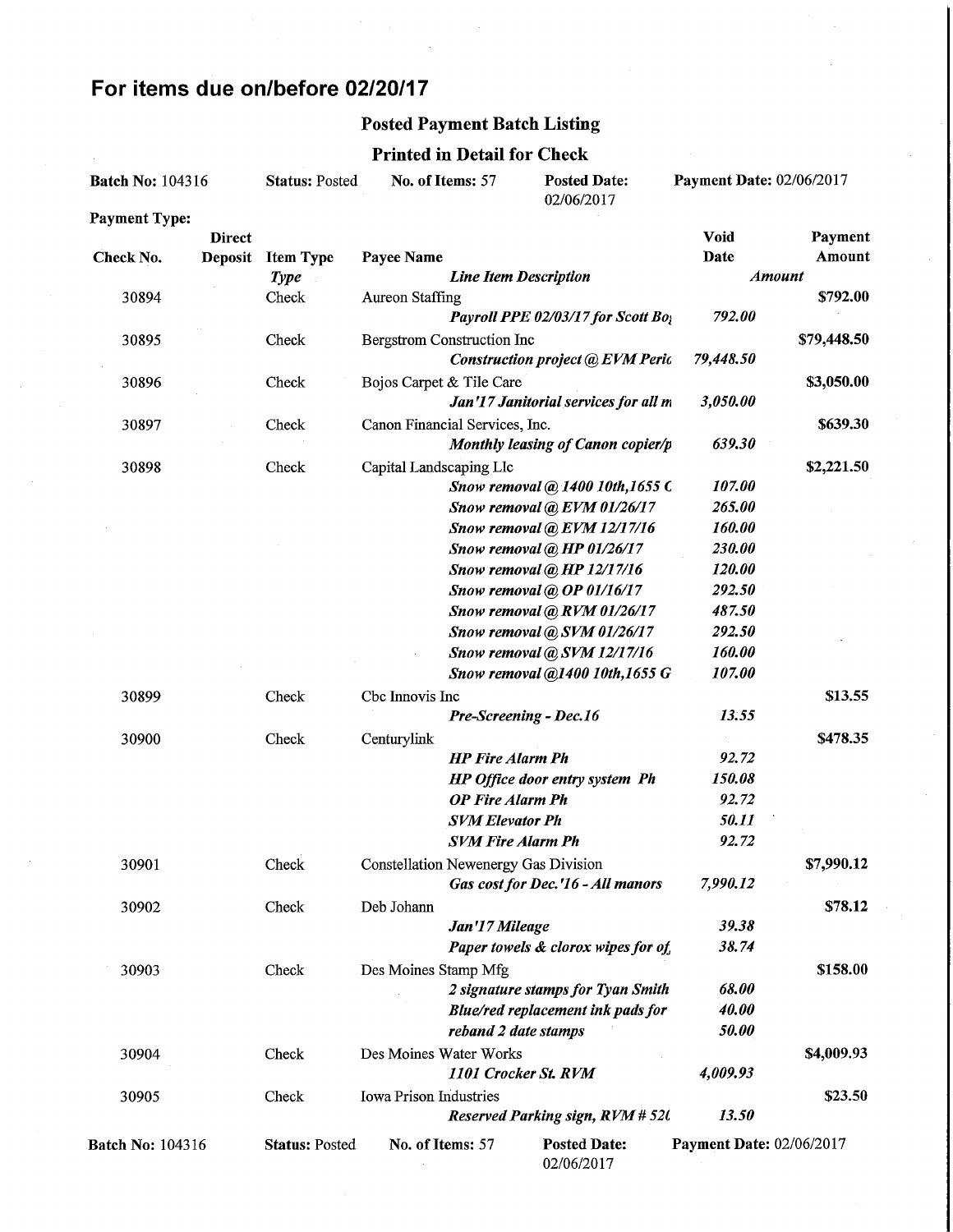# For items due on/before 02/20/17

## Posted Payment Batch Listing

### Printed in Detail for Check

| <b>Batch No: 104316</b> |                | <b>Status: Posted</b> | No. of Items: 57<br><b>Posted Date:</b><br>02/06/2017 |                              | Payment Date: 02/06/2017                |                          |               |
|-------------------------|----------------|-----------------------|-------------------------------------------------------|------------------------------|-----------------------------------------|--------------------------|---------------|
| <b>Payment Type:</b>    |                |                       |                                                       |                              |                                         |                          |               |
|                         | <b>Direct</b>  |                       |                                                       |                              |                                         | Void                     | Payment       |
| Check No.               | <b>Deposit</b> | <b>Item Type</b>      | Payee Name                                            |                              |                                         | Date                     | Amount        |
|                         |                | <b>Type</b>           |                                                       | <b>Line Item Description</b> |                                         |                          | <b>Amount</b> |
| 30894                   |                | Check                 | <b>Aureon Staffing</b>                                |                              |                                         |                          | \$792.00      |
|                         |                |                       |                                                       |                              | Payroll PPE 02/03/17 for Scott Boy      | 792.00                   |               |
| 30895                   |                | Check                 | <b>Bergstrom Construction Inc</b>                     |                              |                                         |                          | \$79,448.50   |
|                         |                |                       |                                                       |                              | Construction project @ EVM Peric        | 79,448.50                |               |
| 30896                   |                | Check                 | Bojos Carpet & Tile Care                              |                              |                                         |                          | \$3,050.00    |
|                         |                |                       |                                                       |                              | Jan'17 Janitorial services for all m    | 3,050.00                 |               |
| 30897                   |                | Check                 | Canon Financial Services, Inc.                        |                              |                                         |                          | \$639.30      |
|                         |                |                       |                                                       |                              | Monthly leasing of Canon copier/p       | 639.30                   |               |
| 30898                   |                | Check                 | Capital Landscaping Llc                               |                              |                                         |                          | \$2,221.50    |
|                         |                |                       |                                                       |                              | Snow removal @ 1400 10th, 1655 C        | 107.00                   |               |
|                         |                |                       |                                                       |                              | Snow removal @ EVM 01/26/17             | 265.00                   |               |
|                         |                |                       |                                                       |                              | Snow removal @ EVM 12/17/16             | 160.00                   |               |
|                         |                |                       |                                                       |                              | Snow removal @ HP 01/26/17              | 230.00                   |               |
|                         |                |                       |                                                       |                              | Snow removal @ HP 12/17/16              | 120.00                   |               |
|                         |                |                       |                                                       |                              | Snow removal @ OP 01/16/17              | 292.50                   |               |
|                         |                |                       |                                                       |                              | Snow removal @ RVM 01/26/17             | 487.50                   |               |
|                         |                |                       |                                                       |                              | Snow removal @ SVM 01/26/17             | 292.50                   |               |
|                         |                |                       |                                                       |                              | Snow removal @ SVM 12/17/16             | 160.00                   |               |
|                         |                |                       |                                                       |                              | Snow removal @1400 10th, 1655 G         | 107.00                   |               |
| 30899                   |                | Check                 | Cbc Innovis Inc                                       |                              |                                         |                          | \$13.55       |
|                         |                |                       |                                                       |                              | Pre-Screening - Dec.16                  | 13.55                    |               |
| 30900                   |                | Check                 | Centurylink                                           |                              |                                         |                          | \$478.35      |
|                         |                |                       |                                                       | <b>HP</b> Fire Alarm Ph      |                                         | 92.72                    |               |
|                         |                |                       |                                                       |                              | HP Office door entry system Ph          | 150.08                   |               |
|                         |                |                       |                                                       | <b>OP Fire Alarm Ph</b>      |                                         | 92.72                    |               |
|                         |                |                       |                                                       | <b>SVM Elevator Ph</b>       |                                         | 50.11                    |               |
|                         |                |                       |                                                       | <b>SVM Fire Alarm Ph</b>     |                                         | 92.72                    |               |
| 30901                   |                | Check                 | <b>Constellation Newenergy Gas Division</b>           |                              |                                         |                          | \$7,990.12    |
|                         |                |                       |                                                       |                              | Gas cost for Dec. '16 - All manors      | 7,990.12                 |               |
| 30902                   |                | Check                 | Deb Johann                                            |                              |                                         |                          | \$78.12       |
|                         |                |                       |                                                       | Jan'17 Mileage               |                                         | 39.38                    |               |
|                         |                |                       |                                                       |                              | Paper towels & clorox wipes for of      | 38.74                    |               |
| 30903                   |                | Check                 | Des Moines Stamp Mfg                                  |                              |                                         |                          | \$158.00      |
|                         |                |                       |                                                       |                              | 2 signature stamps for Tyan Smith       | 68.00                    |               |
|                         |                |                       |                                                       |                              | Blue/red replacement ink pads for       | 40.00                    |               |
|                         |                |                       |                                                       | reband 2 date stamps         |                                         | 50.00                    |               |
| 30904                   |                | Check                 | Des Moines Water Works                                |                              |                                         |                          | \$4,009.93    |
|                         |                |                       |                                                       | 1101 Crocker St. RVM         |                                         | 4,009.93                 |               |
| 30905                   |                | Check                 | <b>Iowa Prison Industries</b>                         |                              |                                         |                          | \$23.50       |
|                         |                |                       |                                                       |                              | <b>Reserved Parking sign, RVM # 520</b> | 13.50                    |               |
| <b>Batch No: 104316</b> |                | <b>Status: Posted</b> | No. of Items: 57                                      |                              | <b>Posted Date:</b><br>02/06/2017       | Payment Date: 02/06/2017 |               |